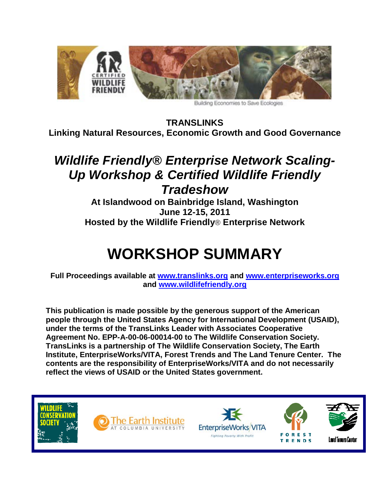

Building Economies to Save Ecologies

**TRANSLINKS Linking Natural Resources, Economic Growth and Good Governance**

# *Wildlife Friendly® Enterprise Network Scaling-Up Workshop & Certified Wildlife Friendly Tradeshow*

**At Islandwood on Bainbridge Island, Washington June 12-15, 2011 Hosted by the Wildlife Friendly**® **Enterprise Network**

# **WORKSHOP SUMMARY**

**Full Proceedings available at [www.translinks.org](http://www.translinks.org/) and [www.enterpriseworks.org](http://www.enterpriseworks.org/) and [www.wildlifefriendly.org](http://www.wildlifefriendly.org/)**

**This publication is made possible by the generous support of the American people through the United States Agency for International Development (USAID), under the terms of the TransLinks Leader with Associates Cooperative Agreement No. EPP-A-00-06-00014-00 to The Wildlife Conservation Society. TransLinks is a partnership of The Wildlife Conservation Society, The Earth Institute, EnterpriseWorks/VITA, Forest Trends and The Land Tenure Center. The contents are the responsibility of EnterpriseWorks/VITA and do not necessarily reflect the views of USAID or the United States government.** 

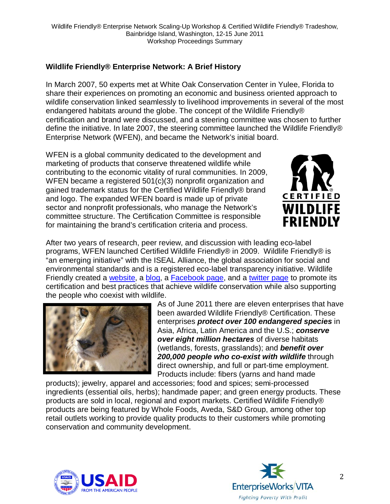# **Wildlife Friendly® Enterprise Network: A Brief History**

In March 2007, 50 experts met at White Oak Conservation Center in Yulee, Florida to share their experiences on promoting an economic and business oriented approach to wildlife conservation linked seamlessly to livelihood improvements in several of the most endangered habitats around the globe. The concept of the Wildlife Friendly® certification and brand were discussed, and a steering committee was chosen to further define the initiative. In late 2007, the steering committee launched the Wildlife Friendly® Enterprise Network (WFEN), and became the Network's initial board.

WFEN is a global community dedicated to the development and marketing of products that conserve threatened wildlife while contributing to the economic vitality of rural communities. In 2009, WFEN became a registered 501(c)(3) nonprofit organization and gained trademark status for the Certified Wildlife Friendly® brand and logo. The expanded WFEN board is made up of private sector and nonprofit professionals, who manage the Network's committee structure. The Certification Committee is responsible for maintaining the brand's certification criteria and process.



After two years of research, peer review, and discussion with leading eco-label programs, WFEN launched Certified Wildlife Friendly® in 2009. Wildlife Friendly® is "an emerging initiative" with the ISEAL Alliance, the global association for social and environmental standards and is a registered eco-label transparency initiative. Wildlife Friendly created a [website,](http://www.wildlifefriendly.org/) a [blog,](http://www.wildlifefriendly.org/media/blog) a [Facebook page,](http://www.facebook.com/#!/pages/Wildlife-Friendly/350073458975?ref=ts) and a [twitter page](http://twitter.com/wfen) to promote its certification and best practices that achieve wildlife conservation while also supporting the people who coexist with wildlife.



As of June 2011 there are eleven enterprises that have been awarded Wildlife Friendly® Certification. These enterprises *protect over 100 endangered species* in Asia, Africa, Latin America and the U.S.; *conserve over eight million hectares* of diverse habitats (wetlands, forests, grasslands); and *benefit over 200,000 people who co-exist with wildlife* through direct ownership, and full or part-time employment. Products include: fibers (yarns and hand made

products); jewelry, apparel and accessories; food and spices; semi-processed ingredients (essential oils, herbs); handmade paper; and green energy products. These products are sold in local, regional and export markets. Certified Wildlife Friendly® products are being featured by Whole Foods, Aveda, S&D Group, among other top retail outlets working to provide quality products to their customers while promoting conservation and community development.



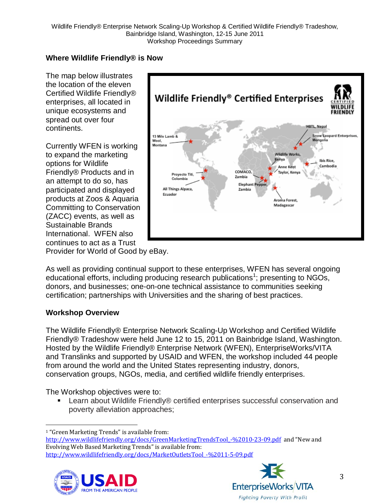# **Where Wildlife Friendly® is Now**

The map below illustrates the location of the eleven Certified Wildlife Friendly® enterprises, all located in unique ecosystems and spread out over four continents.

Currently WFEN is working to expand the marketing options for Wildlife Friendly® Products and in an attempt to do so, has participated and displayed products at Zoos & Aquaria Committing to Conservation (ZACC) events, as well as Sustainable Brands International. WFEN also continues to act as a Trust



Provider for World of Good by eBay.

As well as providing continual support to these enterprises, WFEN has several ongoing educational efforts, including producing research publications<sup>[1](#page-2-0)</sup>; presenting to NGOs, donors, and businesses; one-on-one technical assistance to communities seeking certification; partnerships with Universities and the sharing of best practices.

#### **Workshop Overview**

The Wildlife Friendly® Enterprise Network Scaling-Up Workshop and Certified Wildlife Friendly® Tradeshow were held June 12 to 15, 2011 on Bainbridge Island, Washington. Hosted by the Wildlife Friendly® Enterprise Network (WFEN), EnterpriseWorks/VITA and Translinks and supported by USAID and WFEN, the workshop included 44 people from around the world and the United States representing industry, donors, conservation groups, NGOs, media, and certified wildlife friendly enterprises.

The Workshop objectives were to:

■ Learn about Wildlife Friendly® certified enterprises successful conservation and poverty alleviation approaches;

http://www.wildlifefriendly.org/docs/GreenMarketingTrendsTool -%2010-23-09.pdf and "New and Evolving Web Based Marketing Trends" is available from: [http://www.wildlifefriendly.org/docs/MarketOutletsTool\\_-%2011-5-09.pdf](http://www.wildlifefriendly.org/docs/MarketOutletsTool_-%2011-5-09.pdf)





<span id="page-2-0"></span> <sup>1</sup> "Green Marketing Trends" is available from: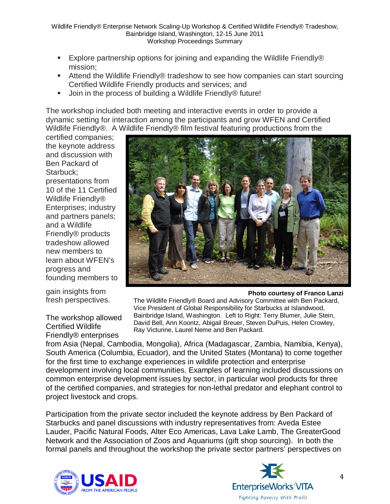- Explore partnership options for joining and expanding the Wildlife Friendly® mission;
- Attend the Wildlife Friendly® tradeshow to see how companies can start sourcing Certified Wildlife Friendly products and services; and
- Join in the process of building a Wildlife Friendly® future!

The workshop included both meeting and interactive events in order to provide a dynamic setting for interaction among the participants and grow WFEN and Certified Wildlife Friendly®. A Wildlife Friendly® film festival featuring productions from the

certified companies; the keynote address and discussion with Ben Packard of Starbuck; presentations from 10 of the 11 Certified Wildlife Friendly<sup>®</sup> Enterprises; industry and partners panels; and a Wildlife Friendly® products tradeshow allowed new members to learn about WFEN's progress and founding members to

gain insights from fresh perspectives.

The workshop allowed Certified Wildlife Friendly® enterprises



**Photo courtesy of Franco Lanzi** The Wildlife Friendly® Board and Advisory Committee with Ben Packard, Vice President of Global Responsibility for Starbucks at Islandwood, Bainbridge Island, Washington. Left to Right: Terry Blumer, Julie Stein, David Bell, Ann Koontz, Abigail Breuer, Steven DuPuis, Helen Crowley, Ray Victurine, Laurel Neme and Ben Packard.

from Asia (Nepal, Cambodia, Mongolia), Africa (Madagascar, Zambia, Namibia, Kenya), South America (Columbia, Ecuador), and the United States (Montana) to come together for the first time to exchange experiences in wildlife protection and enterprise development involving local communities. Examples of learning included discussions on common enterprise development issues by sector, in particular wool products for three of the certified companies, and strategies for non-lethal predator and elephant control to project livestock and crops.

Participation from the private sector included the keynote address by Ben Packard of Starbucks and panel discussions with industry representatives from: Aveda Estee Lauder, Pacific Natural Foods, Alter Eco Americas, Lava Lake Lamb, The GreaterGood Network and the Association of Zoos and Aquariums (gift shop sourcing). In both the formal panels and throughout the workshop the private sector partners' perspectives on





4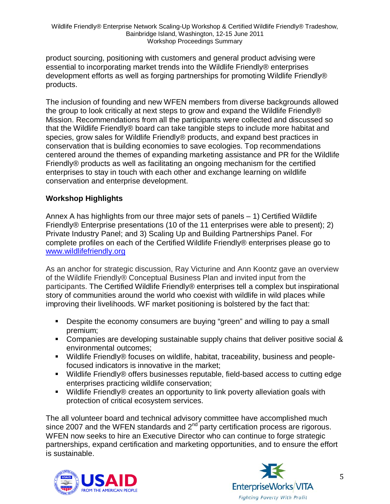product sourcing, positioning with customers and general product advising were essential to incorporating market trends into the Wildlife Friendly® enterprises development efforts as well as forging partnerships for promoting Wildlife Friendly® products.

The inclusion of founding and new WFEN members from diverse backgrounds allowed the group to look critically at next steps to grow and expand the Wildlife Friendly® Mission. Recommendations from all the participants were collected and discussed so that the Wildlife Friendly® board can take tangible steps to include more habitat and species, grow sales for Wildlife Friendly® products, and expand best practices in conservation that is building economies to save ecologies. Top recommendations centered around the themes of expanding marketing assistance and PR for the Wildlife Friendly® products as well as facilitating an ongoing mechanism for the certified enterprises to stay in touch with each other and exchange learning on wildlife conservation and enterprise development.

#### **Workshop Highlights**

Annex A has highlights from our three major sets of panels – 1) Certified Wildlife Friendly® Enterprise presentations (10 of the 11 enterprises were able to present); 2) Private Industry Panel; and 3) Scaling Up and Building Partnerships Panel. For complete profiles on each of the Certified Wildlife Friendly® enterprises please go to [www.wildlifefriendly.org](http://www.wildlifefriendly.org/)

As an anchor for strategic discussion, Ray Victurine and Ann Koontz gave an overview of the Wildlife Friendly® Conceptual Business Plan and invited input from the participants. The Certified Wildlife Friendly® enterprises tell a complex but inspirational story of communities around the world who coexist with wildlife in wild places while improving their livelihoods. WF market positioning is bolstered by the fact that:

- **Despite the economy consumers are buying "green" and willing to pay a small** premium;
- **Companies are developing sustainable supply chains that deliver positive social &** environmental outcomes;
- Wildlife Friendly® focuses on wildlife, habitat, traceability, business and peoplefocused indicators is innovative in the market;
- Wildlife Friendly® offers businesses reputable, field-based access to cutting edge enterprises practicing wildlife conservation;
- Wildlife Friendly® creates an opportunity to link poverty alleviation goals with protection of critical ecosystem services.

The all volunteer board and technical advisory committee have accomplished much since 2007 and the WFEN standards and  $2<sup>nd</sup>$  party certification process are rigorous. WFEN now seeks to hire an Executive Director who can continue to forge strategic partnerships, expand certification and marketing opportunities, and to ensure the effort is sustainable.



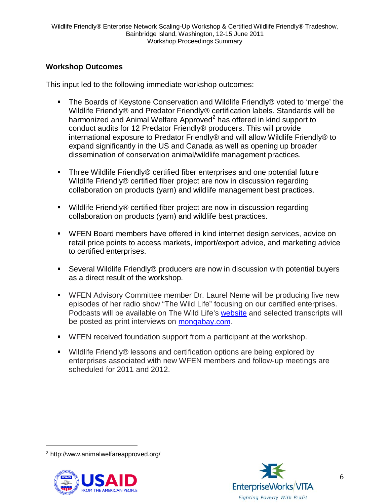#### **Workshop Outcomes**

This input led to the following immediate workshop outcomes:

- The Boards of Keystone Conservation and Wildlife Friendly® voted to 'merge' the Wildlife Friendly® and Predator Friendly® certification labels. Standards will be harmonized and Animal Welfare Approved<sup>[2](#page-5-0)</sup> has offered in kind support to conduct audits for 12 Predator Friendly® producers. This will provide international exposure to Predator Friendly® and will allow Wildlife Friendly® to expand significantly in the US and Canada as well as opening up broader dissemination of conservation animal/wildlife management practices.
- Three Wildlife Friendly® certified fiber enterprises and one potential future Wildlife Friendly® certified fiber project are now in discussion regarding collaboration on products (yarn) and wildlife management best practices.
- Wildlife Friendly® certified fiber project are now in discussion regarding collaboration on products (yarn) and wildlife best practices.
- WFEN Board members have offered in kind internet design services, advice on retail price points to access markets, import/export advice, and marketing advice to certified enterprises.
- Several Wildlife Friendly® producers are now in discussion with potential buyers as a direct result of the workshop.
- WFEN Advisory Committee member Dr. Laurel Neme will be producing five new episodes of her radio show "The Wild Life" focusing on our certified enterprises. Podcasts will be available on The Wild Life's [website](http://www.laurelneme.com/index.php?Itemid=251&id=18&layout=blog&option=com_content&view=section) and selected transcripts will be posted as print interviews on [mongabay.com.](http://www.mongabay.com/)
- WFEN received foundation support from a participant at the workshop.
- Wildlife Friendly® lessons and certification options are being explored by enterprises associated with new WFEN members and follow-up meetings are scheduled for 2011 and 2012.

<span id="page-5-0"></span> <sup>2</sup> http://www.animalwelfareapproved.org/



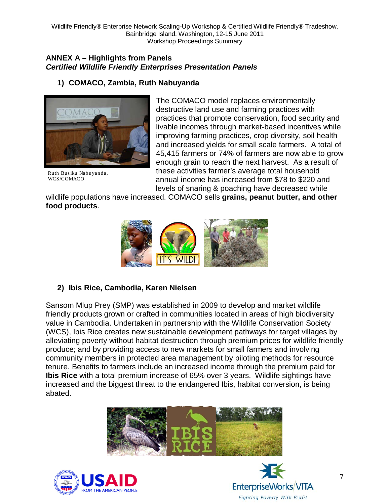#### **ANNEX A – Highlights from Panels** *Certified Wildlife Friendly Enterprises Presentation Panels*

## **1) COMACO, Zambia, Ruth Nabuyanda**



Ruth Bus iku Nab uyan da, WCS/COMACO

The COMACO model replaces environmentally destructive land use and farming practices with practices that promote conservation, food security and livable incomes through market-based incentives while improving farming practices, crop diversity, soil health and increased yields for small scale farmers. A total of 45,415 farmers or 74% of farmers are now able to grow enough grain to reach the next harvest. As a result of these activities farmer's average total household annual income has increased from \$78 to \$220 and levels of snaring & poaching have decreased while

wildlife populations have increased. COMACO sells **grains, peanut butter, and other food products**.



# **2) Ibis Rice, Cambodia, Karen Nielsen**

Sansom Mlup Prey (SMP) was established in 2009 to develop and market wildlife friendly products grown or crafted in communities located in areas of high biodiversity value in Cambodia. Undertaken in partnership with the Wildlife Conservation Society (WCS), Ibis Rice creates new sustainable development pathways for target villages by alleviating poverty without habitat destruction through premium prices for wildlife friendly produce; and by providing access to new markets for small farmers and involving community members in protected area management by piloting methods for resource tenure. Benefits to farmers include an increased income through the premium paid for **Ibis Rice** with a total premium increase of 65% over 3 years. Wildlife sightings have increased and the biggest threat to the endangered Ibis, habitat conversion, is being abated.





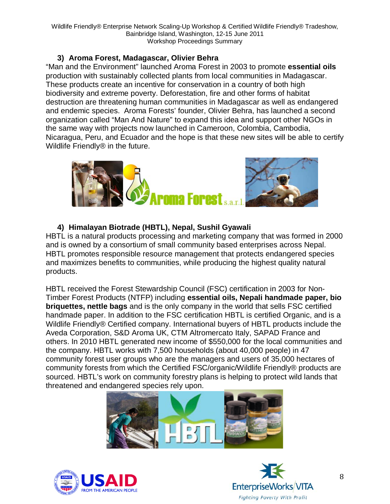#### **3) Aroma Forest, Madagascar, Olivier Behra**

"Man and the Environment" launched Aroma Forest in 2003 to promote **essential oils** production with sustainably collected plants from local communities in Madagascar. These products create an incentive for conservation in a country of both high biodiversity and extreme poverty. Deforestation, fire and other forms of habitat destruction are threatening human communities in Madagascar as well as endangered and endemic species. Aroma Forests' founder, Olivier Behra, has launched a second organization called "Man And Nature" to expand this idea and support other NGOs in the same way with projects now launched in Cameroon, Colombia, Cambodia, Nicaragua, Peru, and Ecuador and the hope is that these new sites will be able to certify Wildlife Friendly® in the future.



# **4) Himalayan Biotrade (HBTL), Nepal, Sushil Gyawali**

HBTL is a natural products processing and marketing company that was formed in 2000 and is owned by a consortium of small community based enterprises across Nepal. HBTL promotes responsible resource management that protects endangered species and maximizes benefits to communities, while producing the highest quality natural products.

HBTL received the Forest Stewardship Council (FSC) certification in 2003 for Non-Timber Forest Products (NTFP) including **essential oils, Nepali handmade paper, bio briquettes, nettle bags** and is the only company in the world that sells FSC certified handmade paper. In addition to the FSC certification HBTL is certified Organic, and is a Wildlife Friendly® Certified company. International buyers of HBTL products include the Aveda Corporation, S&D Aroma UK, CTM Altromercato Italy, SAPAD France and others. In 2010 HBTL generated new income of \$550,000 for the local communities and the company. HBTL works with 7,500 households (about 40,000 people) in 47 community forest user groups who are the managers and users of 35,000 hectares of community forests from which the Certified FSC/organic/Wildlife Friendly® products are sourced. HBTL's work on community forestry plans is helping to protect wild lands that threatened and endangered species rely upon.





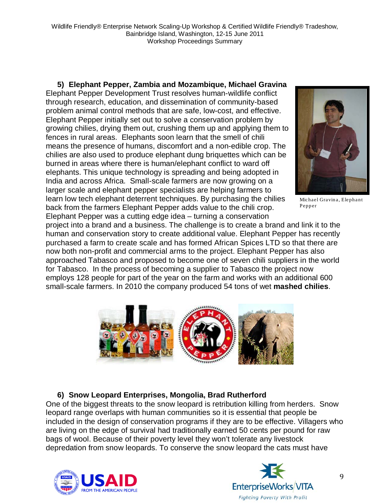# **5) Elephant Pepper, Zambia and Mozambique, Michael Gravina**

Elephant Pepper Development Trust resolves human-wildlife conflict through research, education, and dissemination of community-based problem animal control methods that are safe, low-cost, and effective. Elephant Pepper initially set out to solve a conservation problem by growing chilies, drying them out, crushing them up and applying them to fences in rural areas. Elephants soon learn that the smell of chili means the presence of humans, discomfort and a non-edible crop. The chilies are also used to produce elephant dung briquettes which can be burned in areas where there is human/elephant conflict to ward off elephants. This unique technology is spreading and being adopted in India and across Africa. Small-scale farmers are now growing on a larger scale and elephant pepper specialists are helping farmers to learn low tech elephant deterrent techniques. By purchasing the chilies back from the farmers Elephant Pepper adds value to the chili crop. Elephant Pepper was a cutting edge idea – turning a conservation



Michael Gravina, Elephant Pepper

project into a brand and a business. The challenge is to create a brand and link it to the human and conservation story to create additional value. Elephant Pepper has recently purchased a farm to create scale and has formed African Spices LTD so that there are now both non-profit and commercial arms to the project. Elephant Pepper has also approached Tabasco and proposed to become one of seven chili suppliers in the world for Tabasco. In the process of becoming a supplier to Tabasco the project now employs 128 people for part of the year on the farm and works with an additional 600 small-scale farmers. In 2010 the company produced 54 tons of wet **mashed chilies**.



# **6) Snow Leopard Enterprises, Mongolia, Brad Rutherford**

One of the biggest threats to the snow leopard is retribution killing from herders. Snow leopard range overlaps with human communities so it is essential that people be included in the design of conservation programs if they are to be effective. Villagers who are living on the edge of survival had traditionally earned 50 cents per pound for raw bags of wool. Because of their poverty level they won't tolerate any livestock depredation from snow leopards. To conserve the snow leopard the cats must have



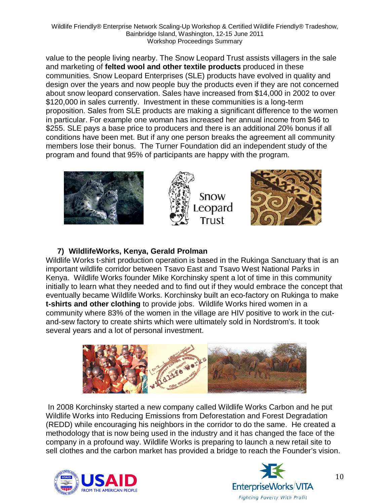value to the people living nearby. The Snow Leopard Trust assists villagers in the sale and marketing of **felted wool and other textile products** produced in these communities. Snow Leopard Enterprises (SLE) products have evolved in quality and design over the years and now people buy the products even if they are not concerned about snow leopard conservation. Sales have increased from \$14,000 in 2002 to over \$120,000 in sales currently. Investment in these communities is a long-term proposition. Sales from SLE products are making a significant difference to the women in particular. For example one woman has increased her annual income from \$46 to \$255. SLE pays a base price to producers and there is an additional 20% bonus if all conditions have been met. But if any one person breaks the agreement all community members lose their bonus. The Turner Foundation did an independent study of the program and found that 95% of participants are happy with the program.



# **7) WildlifeWorks, Kenya, Gerald Prolman**

Wildlife Works t-shirt production operation is based in the Rukinga Sanctuary that is an important wildlife corridor between Tsavo East and Tsavo West National Parks in Kenya. Wildlife Works founder Mike Korchinsky spent a lot of time in this community initially to learn what they needed and to find out if they would embrace the concept that eventually became Wildlife Works. Korchinsky built an eco-factory on Rukinga to make **t-shirts and other clothing** to provide jobs. Wildlife Works hired women in a community where 83% of the women in the village are HIV positive to work in the cutand-sew factory to create shirts which were ultimately sold in Nordstrom's. It took several years and a lot of personal investment.



In 2008 Korchinsky started a new company called Wildlife Works Carbon and he put Wildlife Works into Reducing Emissions from Deforestation and Forest Degradation (REDD) while encouraging his neighbors in the corridor to do the same. He created a methodology that is now being used in the industry and it has changed the face of the company in a profound way. Wildlife Works is preparing to launch a new retail site to sell clothes and the carbon market has provided a bridge to reach the Founder's vision.



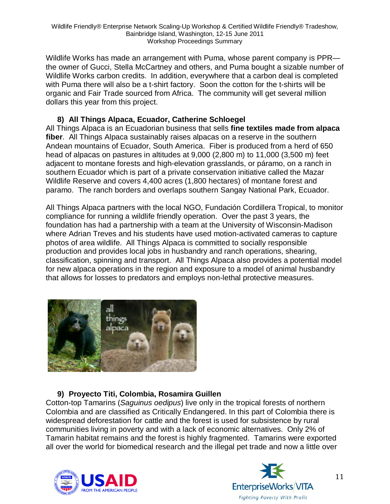Wildlife Works has made an arrangement with Puma, whose parent company is PPR the owner of Gucci, Stella McCartney and others, and Puma bought a sizable number of Wildlife Works carbon credits. In addition, everywhere that a carbon deal is completed with Puma there will also be a t-shirt factory. Soon the cotton for the t-shirts will be organic and Fair Trade sourced from Africa. The community will get several million dollars this year from this project.

#### **8) All Things Alpaca, Ecuador, Catherine Schloegel**

All Things Alpaca is an Ecuadorian business that sells **fine textiles made from alpaca fiber**. All Things Alpaca sustainably raises alpacas on a reserve in the southern Andean mountains of Ecuador, South America. Fiber is produced from a herd of 650 head of alpacas on pastures in altitudes at 9,000 (2,800 m) to 11,000 (3,500 m) feet adjacent to montane forests and high-elevation grasslands, or páramo, on a ranch in southern Ecuador which is part of a private conservation initiative called the Mazar Wildlife Reserve and covers 4,400 acres (1,800 hectares) of montane forest and paramo. The ranch borders and overlaps southern Sangay National Park, Ecuador.

All Things Alpaca partners with the local NGO, Fundación Cordillera Tropical, to monitor compliance for running a wildlife friendly operation. Over the past 3 years, the foundation has had a partnership with a team at the University of Wisconsin-Madison where Adrian Treves and his students have used motion-activated cameras to capture photos of area wildlife. All Things Alpaca is committed to socially responsible production and provides local jobs in husbandry and ranch operations, shearing, classification, spinning and transport. All Things Alpaca also provides a potential model for new alpaca operations in the region and exposure to a model of animal husbandry that allows for losses to predators and employs non-lethal protective measures.



# **9) Proyecto Titi, Colombia, Rosamira Guillen**

Cotton-top Tamarins (*Saguinus oedipus*) live only in the tropical forests of northern Colombia and are classified as Critically Endangered. In this part of Colombia there is widespread deforestation for cattle and the forest is used for subsistence by rural communities living in poverty and with a lack of economic alternatives. Only 2% of Tamarin habitat remains and the forest is highly fragmented. Tamarins were exported all over the world for biomedical research and the illegal pet trade and now a little over



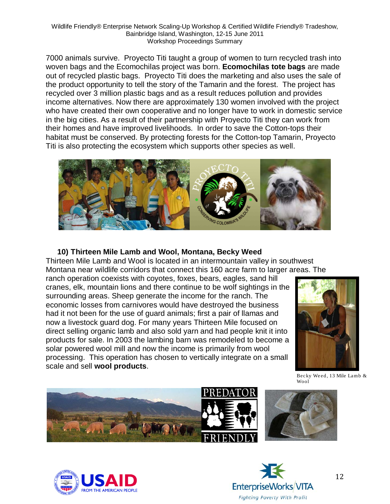7000 animals survive. Proyecto Titi taught a group of women to turn recycled trash into woven bags and the Ecomochilas project was born. **Ecomochilas tote bags** are made out of recycled plastic bags. Proyecto Titi does the marketing and also uses the sale of the product opportunity to tell the story of the Tamarin and the forest. The project has recycled over 3 million plastic bags and as a result reduces pollution and provides income alternatives. Now there are approximately 130 women involved with the project who have created their own cooperative and no longer have to work in domestic service in the big cities. As a result of their partnership with Proyecto Titi they can work from their homes and have improved livelihoods. In order to save the Cotton-tops their habitat must be conserved. By protecting forests for the Cotton-top Tamarin, Proyecto Titi is also protecting the ecosystem which supports other species as well.



# **10) Thirteen Mile Lamb and Wool, Montana, Becky Weed**

Thirteen Mile Lamb and Wool is located in an intermountain valley in southwest Montana near wildlife corridors that connect this 160 acre farm to larger areas. The

ranch operation coexists with coyotes, foxes, bears, eagles, sand hill cranes, elk, mountain lions and there continue to be wolf sightings in the surrounding areas. Sheep generate the income for the ranch. The economic losses from carnivores would have destroyed the business had it not been for the use of guard animals; first a pair of llamas and now a livestock guard dog. For many years Thirteen Mile focused on direct selling organic lamb and also sold yarn and had people knit it into products for sale. In 2003 the lambing barn was remodeled to become a solar powered wool mill and now the income is primarily from wool processing. This operation has chosen to vertically integrate on a small scale and sell **wool products**.



Becky Weed, 13 Mile Lamb & Wool







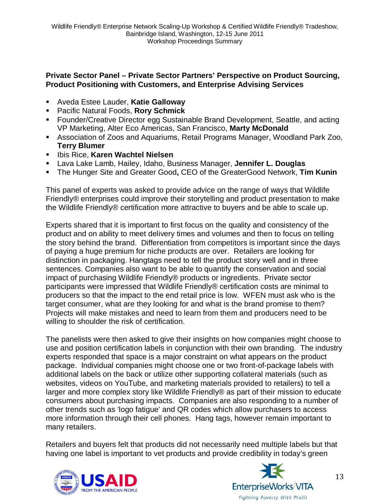#### **Private Sector Panel – Private Sector Partners' Perspective on Product Sourcing, Product Positioning with Customers, and Enterprise Advising Services**

- Aveda Estee Lauder, **Katie Galloway**
- Pacific Natural Foods, **Rory Schmick**
- Founder/Creative Director egg Sustainable Brand Development, Seattle, and acting VP Marketing, Alter Eco Americas, San Francisco, **Marty McDonald**
- Association of Zoos and Aquariums, Retail Programs Manager, Woodland Park Zoo, **Terry Blumer**
- **E** Ibis Rice, Karen Wachtel Nielsen
- Lava Lake Lamb, Hailey, Idaho, Business Manager, **Jennifer L. Douglas**
- The Hunger Site and Greater Good**,** CEO of the GreaterGood Network, **Tim Kunin**

This panel of experts was asked to provide advice on the range of ways that Wildlife Friendly® enterprises could improve their storytelling and product presentation to make the Wildlife Friendly® certification more attractive to buyers and be able to scale up.

Experts shared that it is important to first focus on the quality and consistency of the product and on ability to meet delivery times and volumes and then to focus on telling the story behind the brand. Differentiation from competitors is important since the days of paying a huge premium for niche products are over. Retailers are looking for distinction in packaging. Hangtags need to tell the product story well and in three sentences. Companies also want to be able to quantify the conservation and social impact of purchasing Wildlife Friendly® products or ingredients. Private sector participants were impressed that Wildlife Friendly® certification costs are minimal to producers so that the impact to the end retail price is low. WFEN must ask who is the target consumer, what are they looking for and what is the brand promise to them? Projects will make mistakes and need to learn from them and producers need to be willing to shoulder the risk of certification.

The panelists were then asked to give their insights on how companies might choose to use and position certification labels in conjunction with their own branding. The industry experts responded that space is a major constraint on what appears on the product package. Individual companies might choose one or two front-of-package labels with additional labels on the back or utilize other supporting collateral materials (such as websites, videos on YouTube, and marketing materials provided to retailers) to tell a larger and more complex story like Wildlife Friendly® as part of their mission to educate consumers about purchasing impacts. Companies are also responding to a number of other trends such as 'logo fatigue' and QR codes which allow purchasers to access more information through their cell phones. Hang tags, however remain important to many retailers.

Retailers and buyers felt that products did not necessarily need multiple labels but that having one label is important to vet products and provide credibility in today's green



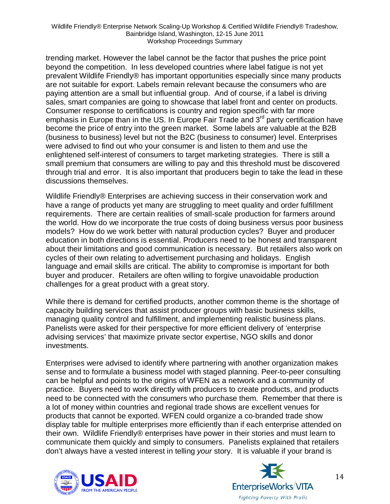trending market. However the label cannot be the factor that pushes the price point beyond the competition. In less developed countries where label fatigue is not yet prevalent Wildlife Friendly® has important opportunities especially since many products are not suitable for export. Labels remain relevant because the consumers who are paying attention are a small but influential group. And of course, if a label is driving sales, smart companies are going to showcase that label front and center on products. Consumer response to certifications is country and region specific with far more emphasis in Europe than in the US. In Europe Fair Trade and 3<sup>rd</sup> party certification have become the price of entry into the green market. Some labels are valuable at the B2B (business to business) level but not the B2C (business to consumer) level. Enterprises were advised to find out who your consumer is and listen to them and use the enlightened self-interest of consumers to target marketing strategies. There is still a small premium that consumers are willing to pay and this threshold must be discovered through trial and error. It is also important that producers begin to take the lead in these discussions themselves.

Wildlife Friendly® Enterprises are achieving success in their conservation work and have a range of products yet many are struggling to meet quality and order fulfillment requirements. There are certain realities of small-scale production for farmers around the world. How do we incorporate the true costs of doing business versus poor business models? How do we work better with natural production cycles? Buyer and producer education in both directions is essential. Producers need to be honest and transparent about their limitations and good communication is necessary. But retailers also work on cycles of their own relating to advertisement purchasing and holidays. English language and email skills are critical. The ability to compromise is important for both buyer and producer. Retailers are often willing to forgive unavoidable production challenges for a great product with a great story.

While there is demand for certified products, another common theme is the shortage of capacity building services that assist producer groups with basic business skills, managing quality control and fulfillment, and implementing realistic business plans. Panelists were asked for their perspective for more efficient delivery of 'enterprise advising services' that maximize private sector expertise, NGO skills and donor investments.

Enterprises were advised to identify where partnering with another organization makes sense and to formulate a business model with staged planning. Peer-to-peer consulting can be helpful and points to the origins of WFEN as a network and a community of practice. Buyers need to work directly with producers to create products, and products need to be connected with the consumers who purchase them. Remember that there is a lot of money within countries and regional trade shows are excellent venues for products that cannot be exported. WFEN could organize a co-branded trade show display table for multiple enterprises more efficiently than if each enterprise attended on their own. Wildlife Friendly® enterprises have power in their stories and must learn to communicate them quickly and simply to consumers. Panelists explained that retailers don't always have a vested interest in telling *your* story. It is valuable if your brand is